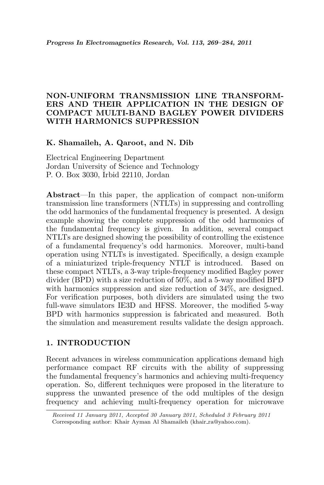# NON-UNIFORM TRANSMISSION LINE TRANSFORM-ERS AND THEIR APPLICATION IN THE DESIGN OF COMPACT MULTI-BAND BAGLEY POWER DIVIDERS WITH HARMONICS SUPPRESSION

## K. Shamaileh, A. Qaroot, and N. Dib

Electrical Engineering Department Jordan University of Science and Technology P. O. Box 3030, Irbid 22110, Jordan

Abstract—In this paper, the application of compact non-uniform transmission line transformers (NTLTs) in suppressing and controlling the odd harmonics of the fundamental frequency is presented. A design example showing the complete suppression of the odd harmonics of the fundamental frequency is given. In addition, several compact NTLTs are designed showing the possibility of controlling the existence of a fundamental frequency's odd harmonics. Moreover, multi-band operation using NTLTs is investigated. Specifically, a design example of a miniaturized triple-frequency NTLT is introduced. Based on these compact NTLTs, a 3-way triple-frequency modified Bagley power divider (BPD) with a size reduction of 50%, and a 5-way modified BPD with harmonics suppression and size reduction of  $34\%$ , are designed. For verification purposes, both dividers are simulated using the two full-wave simulators IE3D and HFSS. Moreover, the modified 5-way BPD with harmonics suppression is fabricated and measured. Both the simulation and measurement results validate the design approach.

#### 1. INTRODUCTION

Recent advances in wireless communication applications demand high performance compact RF circuits with the ability of suppressing the fundamental frequency's harmonics and achieving multi-frequency operation. So, different techniques were proposed in the literature to suppress the unwanted presence of the odd multiples of the design frequency and achieving multi-frequency operation for microwave

Received 11 January 2011, Accepted 30 January 2011, Scheduled 3 February 2011 Corresponding author: Khair Ayman Al Shamaileh (khair\_ra@yahoo.com).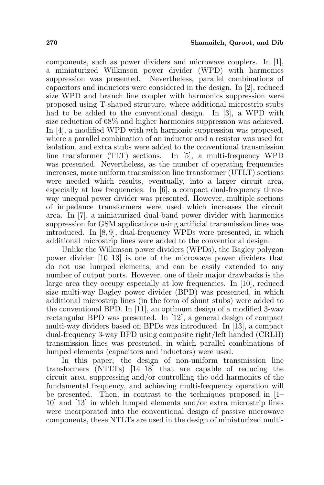components, such as power dividers and microwave couplers. In [1], a miniaturized Wilkinson power divider (WPD) with harmonics suppression was presented. Nevertheless, parallel combinations of capacitors and inductors were considered in the design. In [2], reduced size WPD and branch line coupler with harmonics suppression were proposed using T-shaped structure, where additional microstrip stubs had to be added to the conventional design. In [3], a WPD with size reduction of 68% and higher harmonics suppression was achieved. In [4], a modified WPD with *n*th harmonic suppression was proposed, where a parallel combination of an inductor and a resistor was used for isolation, and extra stubs were added to the conventional transmission line transformer (TLT) sections. In [5], a multi-frequency WPD was presented. Nevertheless, as the number of operating frequencies increases, more uniform transmission line transformer (UTLT) sections were needed which results, eventually, into a larger circuit area, especially at low frequencies. In [6], a compact dual-frequency threeway unequal power divider was presented. However, multiple sections of impedance transformers were used which increases the circuit area. In [7], a miniaturized dual-band power divider with harmonics suppression for GSM applications using artificial transmission lines was introduced. In [8, 9], dual-frequency WPDs were presented, in which additional microstrip lines were added to the conventional design.

Unlike the Wilkinson power dividers (WPDs), the Bagley polygon power divider [10–13] is one of the microwave power dividers that do not use lumped elements, and can be easily extended to any number of output ports. However, one of their major drawbacks is the large area they occupy especially at low frequencies. In [10], reduced size multi-way Bagley power divider (BPD) was presented, in which additional microstrip lines (in the form of shunt stubs) were added to the conventional BPD. In [11], an optimum design of a modified 3-way rectangular BPD was presented. In [12], a general design of compact multi-way dividers based on BPDs was introduced. In [13], a compact dual-frequency 3-way BPD using composite right/left handed (CRLH) transmission lines was presented, in which parallel combinations of lumped elements (capacitors and inductors) were used.

In this paper, the design of non-uniform transmission line transformers (NTLTs) [14–18] that are capable of reducing the circuit area, suppressing and/or controlling the odd harmonics of the fundamental frequency, and achieving multi-frequency operation will be presented. Then, in contrast to the techniques proposed in [1– 10] and [13] in which lumped elements and/or extra microstrip lines were incorporated into the conventional design of passive microwave components, these NTLTs are used in the design of miniaturized multi-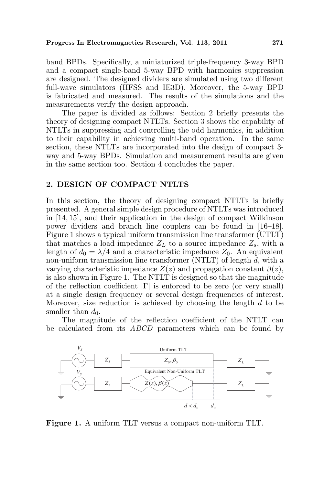band BPDs. Specifically, a miniaturized triple-frequency 3-way BPD and a compact single-band 5-way BPD with harmonics suppression are designed. The designed dividers are simulated using two different full-wave simulators (HFSS and IE3D). Moreover, the 5-way BPD is fabricated and measured. The results of the simulations and the measurements verify the design approach.

The paper is divided as follows: Section 2 briefly presents the theory of designing compact NTLTs. Section 3 shows the capability of NTLTs in suppressing and controlling the odd harmonics, in addition to their capability in achieving multi-band operation. In the same section, these NTLTs are incorporated into the design of compact 3 way and 5-way BPDs. Simulation and measurement results are given in the same section too. Section 4 concludes the paper.

## 2. DESIGN OF COMPACT NTLTS

In this section, the theory of designing compact NTLTs is briefly presented. A general simple design procedure of NTLTs was introduced in [14, 15], and their application in the design of compact Wilkinson power dividers and branch line couplers can be found in [16–18]. Figure 1 shows a typical uniform transmission line transformer (UTLT) that matches a load impedance  $Z_L$  to a source impedance  $Z_s$ , with a length of  $d_0 = \lambda/4$  and a characteristic impedance  $Z_0$ . An equivalent non-uniform transmission line transformer (NTLT) of length d, with a varying characteristic impedance  $Z(z)$  and propagation constant  $\beta(z)$ , is also shown in Figure 1. The NTLT is designed so that the magnitude of the reflection coefficient  $|\Gamma|$  is enforced to be zero (or very small) at a single design frequency or several design frequencies of interest. Moreover, size reduction is achieved by choosing the length  $d$  to be smaller than  $d_0$ .

The magnitude of the reflection coefficient of the NTLT can be calculated from its ABCD parameters which can be found by



Figure 1. A uniform TLT versus a compact non-uniform TLT.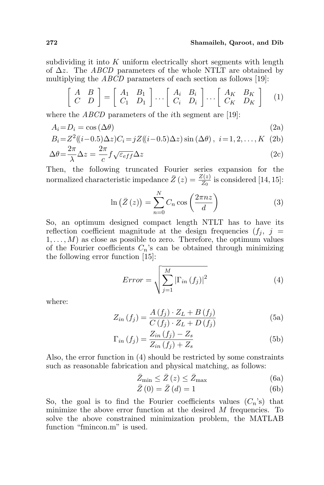#### 272 Shamaileh, Qaroot, and Dib

subdividing it into  $K$  uniform electrically short segments with length of  $\Delta z$ . The ABCD parameters of the whole NTLT are obtained by multiplying the ABCD parameters of each section as follows [19]: .<br>-

$$
\begin{bmatrix} A & B \\ C & D \end{bmatrix} = \begin{bmatrix} A_1 & B_1 \\ C_1 & D_1 \end{bmatrix} \dots \begin{bmatrix} A_i & B_i \\ C_i & D_i \end{bmatrix} \dots \begin{bmatrix} A_K & B_K \\ C_K & D_K \end{bmatrix} \quad (1)
$$

where the *ABCD* parameters of the *i*th segment are [19]:

$$
A_i = D_i = \cos(\Delta \theta) \tag{2a}
$$

$$
B_i = Z^2((i-0.5)\Delta z)C_i = jZ((i-0.5)\Delta z)\sin(\Delta \theta), \ i = 1, 2, ..., K \text{ (2b)}
$$

$$
\Delta \theta = \frac{2\pi}{\lambda} \Delta z = \frac{2\pi}{c} f \sqrt{\varepsilon_{eff}} \Delta z \tag{2c}
$$

Then, the following truncated Fourier series expansion for the normalized characteristic impedance  $\bar{Z}(z) = \frac{Z(z)}{Z_0}$  is considered [14, 15]:

$$
\ln\left(\bar{Z}\left(z\right)\right) = \sum_{n=0}^{N} C_n \cos\left(\frac{2\pi nz}{d}\right) \tag{3}
$$

So, an optimum designed compact length NTLT has to have its reflection coefficient magnitude at the design frequencies  $(f_i, j =$  $1, \ldots, M$  as close as possible to zero. Therefore, the optimum values of the Fourier coefficients  $C_n$ 's can be obtained through minimizing the following error function [15]:

$$
Error = \sqrt{\sum_{j=1}^{M} |\Gamma_{in}(f_j)|^2}
$$
 (4)

where:

$$
Z_{in}(f_j) = \frac{A(f_j) \cdot Z_L + B(f_j)}{C(f_j) \cdot Z_L + D(f_j)}
$$
(5a)

$$
\Gamma_{in}(f_j) = \frac{Z_{in}(f_j) - Z_s}{Z_{in}(f_j) + Z_s}
$$
\n(5b)

Also, the error function in (4) should be restricted by some constraints such as reasonable fabrication and physical matching, as follows:

$$
\bar{Z}_{\min} \le \bar{Z}\left(z\right) \le \bar{Z}_{\max} \tag{6a}
$$

$$
\bar{Z}\left(0\right) = \bar{Z}\left(d\right) = 1\tag{6b}
$$

So, the goal is to find the Fourier coefficients values  $(C_n)$  that minimize the above error function at the desired M frequencies. To solve the above constrained minimization problem, the MATLAB function "fmincon.m" is used.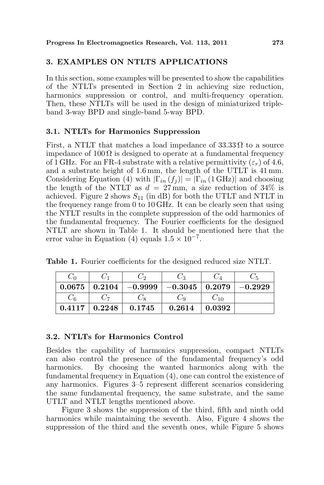## 3. EXAMPLES ON NTLTS APPLICATIONS

In this section, some examples will be presented to show the capabilities of the NTLTs presented in Section 2 in achieving size reduction, harmonics suppression or control, and multi-frequency operation. Then, these NTLTs will be used in the design of miniaturized tripleband 3-way BPD and single-band 5-way BPD.

## 3.1. NTLTs for Harmonics Suppression

First, a NTLT that matches a load impedance of  $33.33 \Omega$  to a source impedance of  $100 \Omega$  is designed to operate at a fundamental frequency of 1 GHz. For an FR-4 substrate with a relative permittivity  $(\varepsilon_r)$  of 4.6, and a substrate height of 1.6 mm, the length of the UTLT is 41 mm. Considering Equation (4) with  $|\Gamma_{in}(f_i)| = |\Gamma_{in}(1 \text{ GHz})|$  and choosing the length of the NTLT as  $d = 27$  mm, a size reduction of 34% is achieved. Figure 2 shows  $S_{11}$  (in dB) for both the UTLT and NTLT in the frequency range from 0 to 10 GHz. It can be clearly seen that using the NTLT results in the complete suppression of the odd harmonics of the fundamental frequency. The Fourier coefficients for the designed NTLT are shown in Table 1. It should be mentioned here that the error value in Equation (4) equals  $1.5 \times 10^{-7}$ .

Table 1. Fourier coefficients for the designed reduced size NTLT.

| $C_0$  |                    | ပြစ                                                             | しっ     |          |           |
|--------|--------------------|-----------------------------------------------------------------|--------|----------|-----------|
|        |                    | $0.0675 \mid 0.2104 \mid -0.9999 \mid -0.3045 \mid 0.2079 \mid$ |        |          | $-0.2929$ |
| $C_6$  |                    |                                                                 | Uα     | $C_{10}$ |           |
| 0.4117 | $\mid 0.2248 \mid$ | 0.1745                                                          | 0.2614 | 0.0392   |           |

## 3.2. NTLTs for Harmonics Control

Besides the capability of harmonics suppression, compact NTLTs can also control the presence of the fundamental frequency's odd harmonics. By choosing the wanted harmonics along with the fundamental frequency in Equation (4), one can control the existence of any harmonics. Figures 3–5 represent different scenarios considering the same fundamental frequency, the same substrate, and the same UTLT and NTLT lengths mentioned above.

Figure 3 shows the suppression of the third, fifth and ninth odd harmonics while maintaining the seventh. Also, Figure 4 shows the suppression of the third and the seventh ones, while Figure 5 shows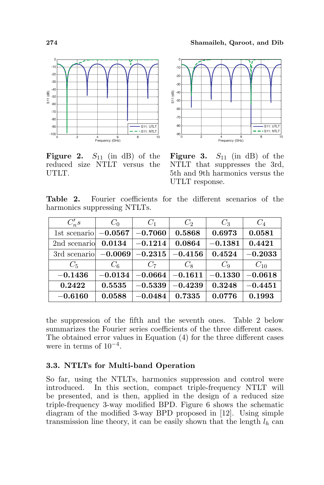

**Figure 2.**  $S_{11}$  (in dB) of the reduced size NTLT versus the UTLT.



**Figure 3.**  $S_{11}$  (in dB) of the NTLT that suppresses the 3rd, 5th and 9th harmonics versus the UTLT response.

Table 2. Fourier coefficients for the different scenarios of the harmonics suppressing NTLTs.

| $C_n's$                          | $C_0$     | $C_1$     | C <sub>2</sub> | $C_3$     | $C_4$     |
|----------------------------------|-----------|-----------|----------------|-----------|-----------|
| 1st scenario                     | $-0.0567$ | $-0.7060$ | 0.5868         | 0.6973    | 0.0581    |
| 2nd scenario                     | 0.0134    | $-0.1214$ | 0.0864         | $-0.1381$ | 0.4421    |
| 3rd scenario $-0.0069$ $-0.2315$ |           |           | $-0.4156$      | 0.4524    | $-0.2033$ |
| $C_5$                            | $C_6$     | $C_7$     | $C_8$          | $C_9$     | $C_{10}$  |
| $-0.1436$                        | $-0.0134$ | $-0.0664$ | $-0.1611$      | $-0.1330$ | $-0.0618$ |
| 0.2422                           | 0.5535    | $-0.5339$ | $-0.4239$      | 0.3248    | $-0.4451$ |
| $-0.6160$                        | 0.0588    | $-0.0484$ | 0.7335         | 0.0776    | 0.1993    |

the suppression of the fifth and the seventh ones. Table 2 below summarizes the Fourier series coefficients of the three different cases. The obtained error values in Equation (4) for the three different cases were in terms of 10−<sup>4</sup> .

## 3.3. NTLTs for Multi-band Operation

So far, using the NTLTs, harmonics suppression and control were introduced. In this section, compact triple-frequency NTLT will be presented, and is then, applied in the design of a reduced size triple-frequency 3-way modified BPD. Figure 6 shows the schematic diagram of the modified 3-way BPD proposed in [12]. Using simple transmission line theory, it can be easily shown that the length  $l_h$  can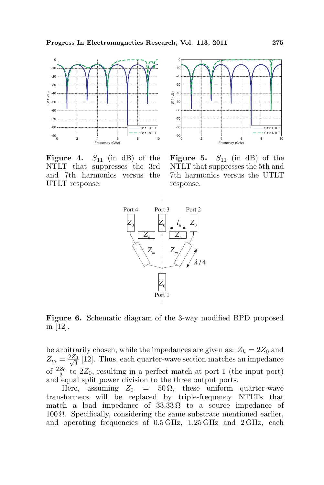

Figure 4.  $S_{11}$  (in dB) of the NTLT that suppresses the 3rd and 7th harmonics versus the UTLT response.



**Figure 5.**  $S_{11}$  (in dB) of the NTLT that suppresses the 5th and 7th harmonics versus the UTLT response.



Figure 6. Schematic diagram of the 3-way modified BPD proposed in [12].

be arbitrarily chosen, while the impedances are given as:  $Z_h = 2Z_0$  and  $Z_m = \frac{2Z_0}{\sqrt{3}}$  $\frac{5}{3}$  [12]. Thus, each quarter-wave section matches an impedance of  $\frac{2Z_0}{3}$  to  $2Z_0$ , resulting in a perfect match at port 1 (the input port) and equal split power division to the three output ports.

Here, assuming  $Z_0 = 50 \Omega$ , these uniform quarter-wave transformers will be replaced by triple-frequency NTLTs that match a load impedance of  $33.33\Omega$  to a source impedance of 100  $\Omega$ . Specifically, considering the same substrate mentioned earlier, and operating frequencies of 0.5 GHz, 1.25 GHz and 2 GHz, each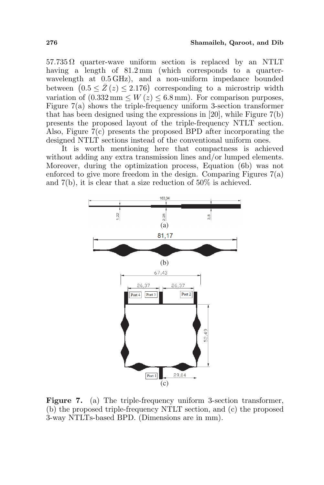$57.735 \Omega$  quarter-wave uniform section is replaced by an NTLT having a length of  $81.2 \,\mathrm{mm}$  (which corresponds to a quarterwavelength at 0.5 GHz), and a non-uniform impedance bounded wavelength at 0.5 GHz), and a non-uniform impedance bounded<br>between  $(0.5 \le \bar{Z}(z) \le 2.176)$  corresponding to a microstrip width variation of  $(0.332 \text{ mm} \leq W(z) \leq 6.8 \text{ mm})$ . For comparison purposes, Figure 7(a) shows the triple-frequency uniform 3-section transformer that has been designed using the expressions in [20], while Figure 7(b) presents the proposed layout of the triple-frequency NTLT section. Also, Figure 7(c) presents the proposed BPD after incorporating the designed NTLT sections instead of the conventional uniform ones.

It is worth mentioning here that compactness is achieved without adding any extra transmission lines and/or lumped elements. Moreover, during the optimization process, Equation (6b) was not enforced to give more freedom in the design. Comparing Figures 7(a) and 7(b), it is clear that a size reduction of 50% is achieved.



Figure 7. (a) The triple-frequency uniform 3-section transformer, (b) the proposed triple-frequency NTLT section, and (c) the proposed 3-way NTLTs-based BPD. (Dimensions are in mm).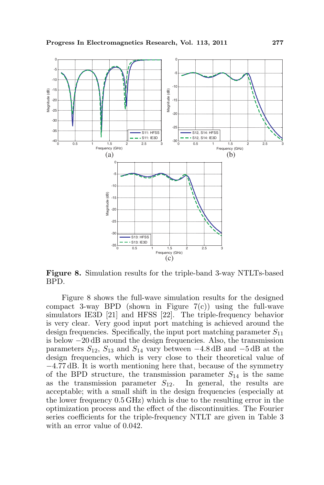

Figure 8. Simulation results for the triple-band 3-way NTLTs-based BPD.

Figure 8 shows the full-wave simulation results for the designed compact 3-way BPD (shown in Figure  $7(c)$ ) using the full-wave simulators IE3D [21] and HFSS [22]. The triple-frequency behavior is very clear. Very good input port matching is achieved around the design frequencies. Specifically, the input port matching parameter  $S_{11}$ is below −20 dB around the design frequencies. Also, the transmission parameters  $S_{12}$ ,  $S_{13}$  and  $S_{14}$  vary between  $-4.8$  dB and  $-5$  dB at the design frequencies, which is very close to their theoretical value of −4.77 dB. It is worth mentioning here that, because of the symmetry of the BPD structure, the transmission parameter  $S_{14}$  is the same as the transmission parameter  $S_{12}$ . In general, the results are acceptable; with a small shift in the design frequencies (especially at the lower frequency 0.5 GHz) which is due to the resulting error in the optimization process and the effect of the discontinuities. The Fourier series coefficients for the triple-frequency NTLT are given in Table 3 with an error value of 0.042.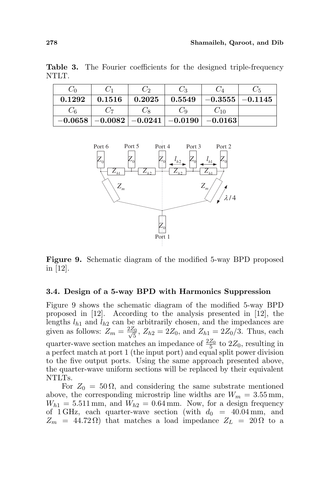Table 3. The Fourier coefficients for the designed triple-frequency NTLT.

| $\cup$ 0  |           | $\scriptstyle{C_2}$ | Ċз          |                   |           |
|-----------|-----------|---------------------|-------------|-------------------|-----------|
| 0.1292    | 0.1516    | 0.2025              | 0.5549      | $-0.3555$ $\vert$ | $-0.1145$ |
| しら        |           |                     | Uα          | $U_{10}$          |           |
| $-0.0658$ | $-0.0082$ | $-0.0241$           | $ -0.0190 $ | $-0.0163$         |           |



Figure 9. Schematic diagram of the modified 5-way BPD proposed in [12].

#### 3.4. Design of a 5-way BPD with Harmonics Suppression

Figure 9 shows the schematic diagram of the modified 5-way BPD proposed in [12]. According to the analysis presented in [12], the lengths  $l_{h1}$  and  $l_{h2}$  can be arbitrarily chosen, and the impedances are given as follows:  $Z_m = \frac{2Z_0}{\sqrt{5}}$  $\frac{\zeta_0}{5}$ ,  $Z_{h2} = 2Z_0$ , and  $Z_{h1} = 2Z_0/3$ . Thus, each quarter-wave section matches an impedance of  $\frac{2Z_0}{5}$  to  $2Z_0$ , resulting in a perfect match at port 1 (the input port) and equal split power division to the five output ports. Using the same approach presented above, the quarter-wave uniform sections will be replaced by their equivalent NTLTs.

For  $Z_0 = 50 \Omega$ , and considering the same substrate mentioned above, the corresponding microstrip line widths are  $W_m = 3.55$  mm,  $W_{h1} = 5.511$  mm, and  $W_{h2} = 0.64$  mm. Now, for a design frequency of 1 GHz, each quarter-wave section (with  $d_0 = 40.04$  mm, and  $Z_m = 44.72 \Omega$ ) that matches a load impedance  $Z_L = 20 \Omega$  to a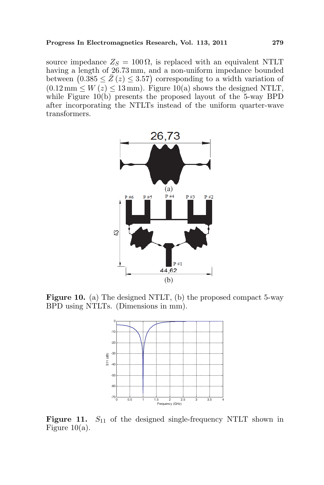source impedance  $Z_S = 100 \Omega$ , is replaced with an equivalent NTLT having a length of 26.73 mm, and a non-uniform impedance bounded having a length of 26.73 mm, and a non-uniform impedance bounded<br>between  $(0.385 \le \bar{Z}(z) \le 3.57)$  corresponding to a width variation of  $(0.12 \,\mathrm{mm} \leq W(z) \leq 13 \,\mathrm{mm})$ . Figure 10(a) shows the designed NTLT, while Figure  $10(b)$  presents the proposed layout of the 5-way BPD after incorporating the NTLTs instead of the uniform quarter-wave transformers.



Figure 10. (a) The designed NTLT, (b) the proposed compact 5-way BPD using NTLTs. (Dimensions in mm).



Figure 11.  $S_{11}$  of the designed single-frequency NTLT shown in Figure  $10(a)$ .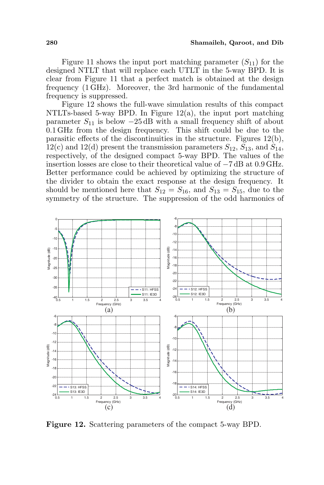Figure 11 shows the input port matching parameter  $(S_{11})$  for the designed NTLT that will replace each UTLT in the 5-way BPD. It is clear from Figure 11 that a perfect match is obtained at the design frequency (1 GHz). Moreover, the 3rd harmonic of the fundamental frequency is suppressed.

Figure 12 shows the full-wave simulation results of this compact NTLTs-based 5-way BPD. In Figure 12(a), the input port matching parameter  $S_{11}$  is below  $-25$  dB with a small frequency shift of about 0.1 GHz from the design frequency. This shift could be due to the parasitic effects of the discontinuities in the structure. Figures 12(b), 12(c) and 12(d) present the transmission parameters  $S_{12}$ ,  $S_{13}$ , and  $S_{14}$ , respectively, of the designed compact 5-way BPD. The values of the insertion losses are close to their theoretical value of −7 dB at 0.9 GHz. Better performance could be achieved by optimizing the structure of the divider to obtain the exact response at the design frequency. It should be mentioned here that  $S_{12} = S_{16}$ , and  $S_{13} = S_{15}$ , due to the symmetry of the structure. The suppression of the odd harmonics of



Figure 12. Scattering parameters of the compact 5-way BPD.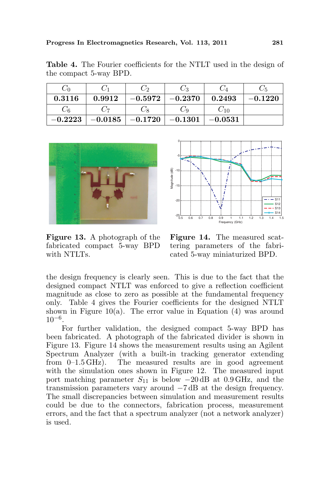|           |           | - 79                  |           |           |           |
|-----------|-----------|-----------------------|-----------|-----------|-----------|
| 0.3116    | 0.9912    | $-0.5972$ $\parallel$ | $-0.2370$ | 0.2493    | $-0.1220$ |
|           |           | -8                    | ∠α        | $-10$     |           |
| $-0.2223$ | $-0.0185$ | $-0.1720$ $\parallel$ | $-0.1301$ | $-0.0531$ |           |

Table 4. The Fourier coefficients for the NTLT used in the design of the compact 5-way BPD.



Figure 13. A photograph of the fabricated compact 5-way BPD with NTLTs.



Figure 14. The measured scattering parameters of the fabricated 5-way miniaturized BPD.

the design frequency is clearly seen. This is due to the fact that the designed compact NTLT was enforced to give a reflection coefficient magnitude as close to zero as possible at the fundamental frequency only. Table 4 gives the Fourier coefficients for the designed NTLT shown in Figure 10(a). The error value in Equation  $(4)$  was around 10−<sup>6</sup> .

For further validation, the designed compact 5-way BPD has been fabricated. A photograph of the fabricated divider is shown in Figure 13. Figure 14 shows the measurement results using an Agilent Spectrum Analyzer (with a built-in tracking generator extending from 0–1.5 GHz). The measured results are in good agreement with the simulation ones shown in Figure 12. The measured input port matching parameter  $S_{11}$  is below  $-20$  dB at 0.9 GHz, and the transmission parameters vary around −7 dB at the design frequency. The small discrepancies between simulation and measurement results could be due to the connectors, fabrication process, measurement errors, and the fact that a spectrum analyzer (not a network analyzer) is used.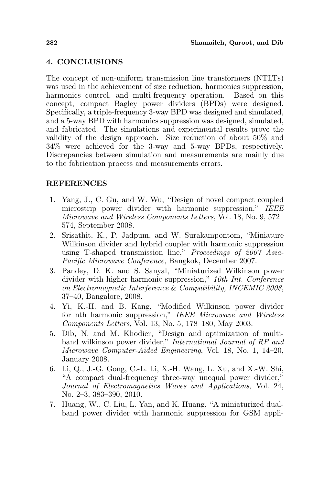# 4. CONCLUSIONS

The concept of non-uniform transmission line transformers (NTLTs) was used in the achievement of size reduction, harmonics suppression, harmonics control, and multi-frequency operation. Based on this concept, compact Bagley power dividers (BPDs) were designed. Specifically, a triple-frequency 3-way BPD was designed and simulated, and a 5-way BPD with harmonics suppression was designed, simulated, and fabricated. The simulations and experimental results prove the validity of the design approach. Size reduction of about 50% and 34% were achieved for the 3-way and 5-way BPDs, respectively. Discrepancies between simulation and measurements are mainly due to the fabrication process and measurements errors.

## REFERENCES

- 1. Yang, J., C. Gu, and W. Wu, "Design of novel compact coupled microstrip power divider with harmonic suppression," IEEE Microwave and Wireless Components Letters, Vol. 18, No. 9, 572– 574, September 2008.
- 2. Srisathit, K., P. Jadpum, and W. Surakampontom, "Miniature Wilkinson divider and hybrid coupler with harmonic suppression using T-shaped transmission line," Proceedings of 2007 Asia-Pacific Microwave Conference, Bangkok, December 2007.
- 3. Pandey, D. K. and S. Sanyal, "Miniaturized Wilkinson power divider with higher harmonic suppression," 10th Int. Conference on Electromagnetic Interference & Compatibility, INCEMIC 2008, 37–40, Bangalore, 2008.
- 4. Yi, K.-H. and B. Kang, "Modified Wilkinson power divider for nth harmonic suppression," IEEE Microwave and Wireless Components Letters, Vol. 13, No. 5, 178–180, May 2003.
- 5. Dib, N. and M. Khodier, "Design and optimization of multiband wilkinson power divider," International Journal of RF and Microwave Computer-Aided Engineering, Vol. 18, No. 1, 14–20, January 2008.
- 6. Li, Q., J.-G. Gong, C.-L. Li, X.-H. Wang, L. Xu, and X.-W. Shi, "A compact dual-frequency three-way unequal power divider," Journal of Electromagnetics Waves and Applications, Vol. 24, No. 2–3, 383–390, 2010.
- 7. Huang, W., C. Liu, L. Yan, and K. Huang, "A miniaturized dualband power divider with harmonic suppression for GSM appli-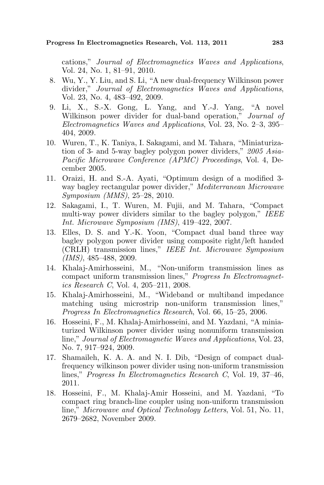cations," Journal of Electromagnetics Waves and Applications, Vol. 24, No. 1, 81–91, 2010.

- 8. Wu, Y., Y. Liu, and S. Li, "A new dual-frequency Wilkinson power divider," Journal of Electromagnetics Waves and Applications, Vol. 23, No. 4, 483–492, 2009.
- 9. Li, X., S.-X. Gong, L. Yang, and Y.-J. Yang, "A novel Wilkinson power divider for dual-band operation," *Journal of* Electromagnetics Waves and Applications, Vol. 23, No. 2–3, 395– 404, 2009.
- 10. Wuren, T., K. Taniya, I. Sakagami, and M. Tahara, "Miniaturization of 3- and 5-way bagley polygon power dividers," 2005 Asia-Pacific Microwave Conference (APMC) Proceedings, Vol. 4, December 2005.
- 11. Oraizi, H. and S.-A. Ayati, "Optimum design of a modified 3 way bagley rectangular power divider," Mediterranean Microwave Symposium (MMS), 25–28, 2010.
- 12. Sakagami, I., T. Wuren, M. Fujii, and M. Tahara, "Compact multi-way power dividers similar to the bagley polygon," IEEE Int. Microwave Symposium (IMS), 419–422, 2007.
- 13. Elles, D. S. and Y.-K. Yoon, "Compact dual band three way bagley polygon power divider using composite right/left handed (CRLH) transmission lines," IEEE Int. Microwave Symposium (IMS), 485–488, 2009.
- 14. Khalaj-Amirhosseini, M., "Non-uniform transmission lines as compact uniform transmission lines," Progress In Electromagnetics Research C, Vol. 4, 205–211, 2008.
- 15. Khalaj-Amirhosseini, M., "Wideband or multiband impedance matching using microstrip non-uniform transmission lines," Progress In Electromagnetics Research, Vol. 66, 15–25, 2006.
- 16. Hosseini, F., M. Khalaj-Amirhosseini, and M. Yazdani, "A miniaturized Wilkinson power divider using nonuniform transmission line," Journal of Electromagnetic Waves and Applications, Vol. 23, No. 7, 917–924, 2009.
- 17. Shamaileh, K. A. A. and N. I. Dib, "Design of compact dualfrequency wilkinson power divider using non-uniform transmission lines," Progress In Electromagnetics Research C, Vol. 19, 37–46, 2011.
- 18. Hosseini, F., M. Khalaj-Amir Hosseini, and M. Yazdani, "To compact ring branch-line coupler using non-uniform transmission line," Microwave and Optical Technology Letters, Vol. 51, No. 11, 2679–2682, November 2009.